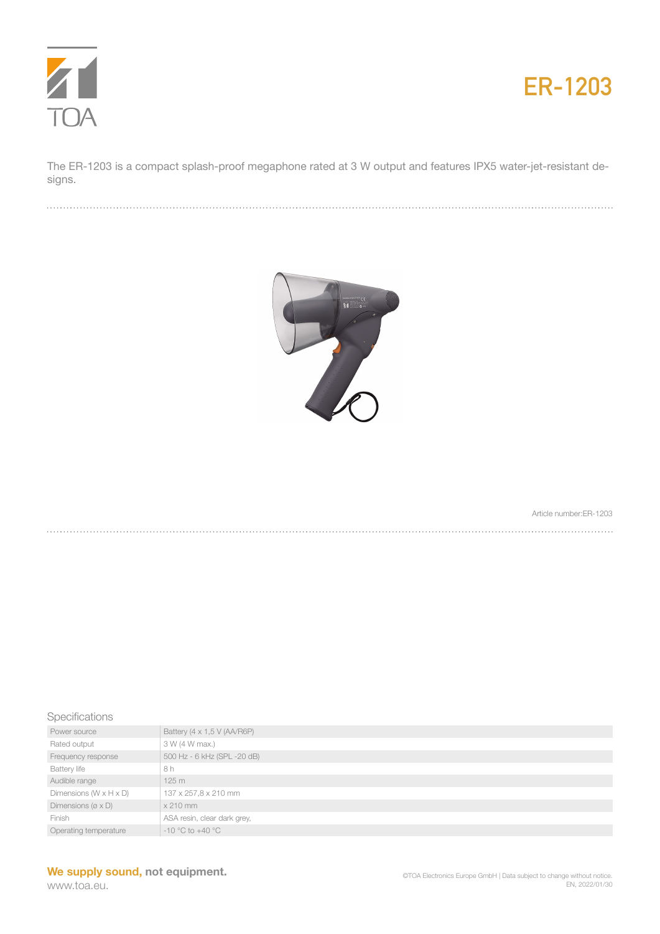



The ER-1203 is a compact splash-proof megaphone rated at 3 W output and features IPX5 water-jet-resistant designs.



Article number:ER-1203

## Specifications

| Power source                          | Battery (4 x 1,5 V (AA/R6P) |
|---------------------------------------|-----------------------------|
| Rated output                          | 3 W (4 W max.)              |
| Frequency response                    | 500 Hz - 6 kHz (SPL -20 dB) |
| <b>Battery life</b>                   | 8 h                         |
| Audible range                         | 125m                        |
| Dimensions $(W \times H \times D)$    | 137 x 257,8 x 210 mm        |
| Dimensions ( $\varnothing \times D$ ) | $x 210$ mm                  |
| Finish                                | ASA resin, clear dark grey, |
| Operating temperature                 | $-10$ °C to $+40$ °C        |

## **We supply sound, not equipment.**

www.toa.eu.